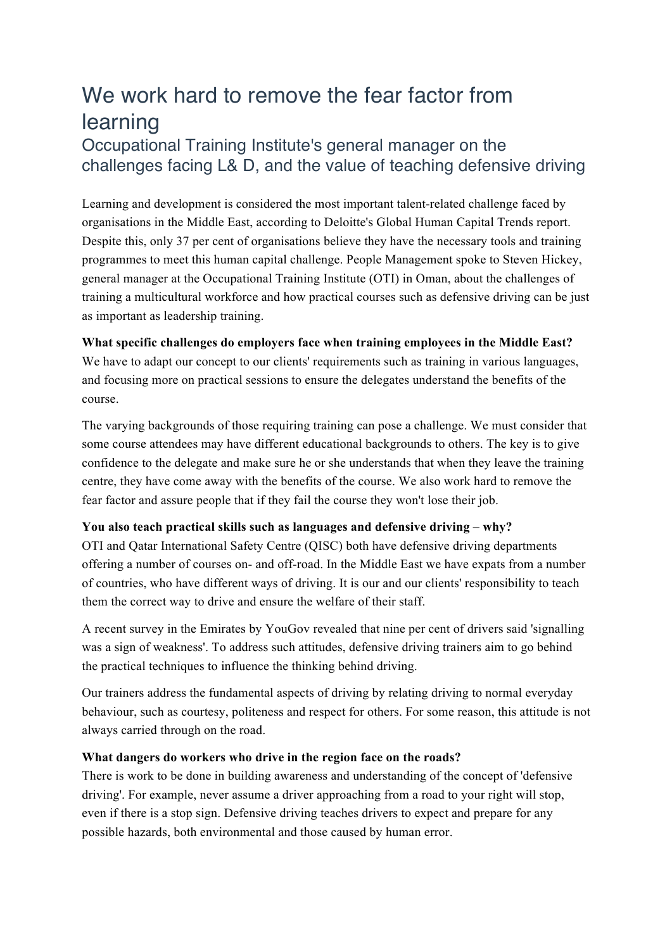# We work hard to remove the fear factor from learning

## Occupational Training Institute's general manager on the challenges facing L& D, and the value of teaching defensive driving

Learning and development is considered the most important talent-related challenge faced by organisations in the Middle East, according to Deloitte's Global Human Capital Trends report. Despite this, only 37 per cent of organisations believe they have the necessary tools and training programmes to meet this human capital challenge. People Management spoke to Steven Hickey, general manager at the Occupational Training Institute (OTI) in Oman, about the challenges of training a multicultural workforce and how practical courses such as defensive driving can be just as important as leadership training.

#### **What specific challenges do employers face when training employees in the Middle East?**

We have to adapt our concept to our clients' requirements such as training in various languages, and focusing more on practical sessions to ensure the delegates understand the benefits of the course.

The varying backgrounds of those requiring training can pose a challenge. We must consider that some course attendees may have different educational backgrounds to others. The key is to give confidence to the delegate and make sure he or she understands that when they leave the training centre, they have come away with the benefits of the course. We also work hard to remove the fear factor and assure people that if they fail the course they won't lose their job.

### **You also teach practical skills such as languages and defensive driving – why?**

OTI and Qatar International Safety Centre (QISC) both have defensive driving departments offering a number of courses on- and off-road. In the Middle East we have expats from a number of countries, who have different ways of driving. It is our and our clients' responsibility to teach them the correct way to drive and ensure the welfare of their staff.

A recent survey in the Emirates by YouGov revealed that nine per cent of drivers said 'signalling was a sign of weakness'. To address such attitudes, defensive driving trainers aim to go behind the practical techniques to influence the thinking behind driving.

Our trainers address the fundamental aspects of driving by relating driving to normal everyday behaviour, such as courtesy, politeness and respect for others. For some reason, this attitude is not always carried through on the road.

#### **What dangers do workers who drive in the region face on the roads?**

There is work to be done in building awareness and understanding of the concept of 'defensive driving'. For example, never assume a driver approaching from a road to your right will stop, even if there is a stop sign. Defensive driving teaches drivers to expect and prepare for any possible hazards, both environmental and those caused by human error.